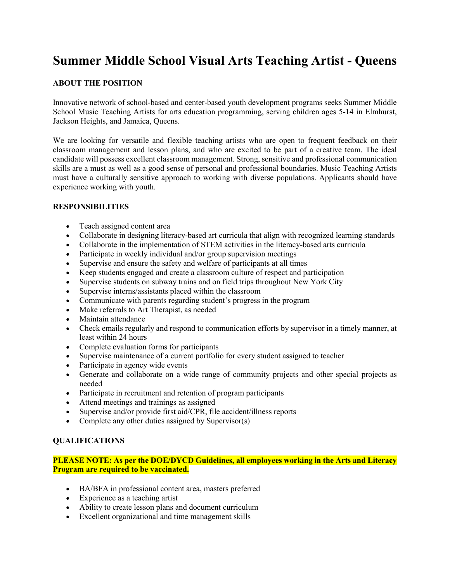# **Summer Middle School Visual Arts Teaching Artist - Queens**

## **ABOUT THE POSITION**

Innovative network of school-based and center-based youth development programs seeks Summer Middle School Music Teaching Artists for arts education programming, serving children ages 5-14 in Elmhurst, Jackson Heights, and Jamaica, Queens.

We are looking for versatile and flexible teaching artists who are open to frequent feedback on their classroom management and lesson plans, and who are excited to be part of a creative team. The ideal candidate will possess excellent classroom management. Strong, sensitive and professional communication skills are a must as well as a good sense of personal and professional boundaries. Music Teaching Artists must have a culturally sensitive approach to working with diverse populations. Applicants should have experience working with youth.

#### **RESPONSIBILITIES**

- Teach assigned content area
- Collaborate in designing literacy-based art curricula that align with recognized learning standards
- Collaborate in the implementation of STEM activities in the literacy-based arts curricula
- Participate in weekly individual and/or group supervision meetings
- Supervise and ensure the safety and welfare of participants at all times
- Keep students engaged and create a classroom culture of respect and participation
- Supervise students on subway trains and on field trips throughout New York City
- Supervise interns/assistants placed within the classroom
- Communicate with parents regarding student's progress in the program
- Make referrals to Art Therapist, as needed
- Maintain attendance
- Check emails regularly and respond to communication efforts by supervisor in a timely manner, at least within 24 hours
- Complete evaluation forms for participants
- Supervise maintenance of a current portfolio for every student assigned to teacher
- Participate in agency wide events
- Generate and collaborate on a wide range of community projects and other special projects as needed
- Participate in recruitment and retention of program participants
- Attend meetings and trainings as assigned
- Supervise and/or provide first aid/CPR, file accident/illness reports
- Complete any other duties assigned by Supervisor(s)

#### **QUALIFICATIONS**

**PLEASE NOTE: As per the DOE/DYCD Guidelines, all employees working in the Arts and Literacy Program are required to be vaccinated.**

- BA/BFA in professional content area, masters preferred
- Experience as a teaching artist
- Ability to create lesson plans and document curriculum
- Excellent organizational and time management skills